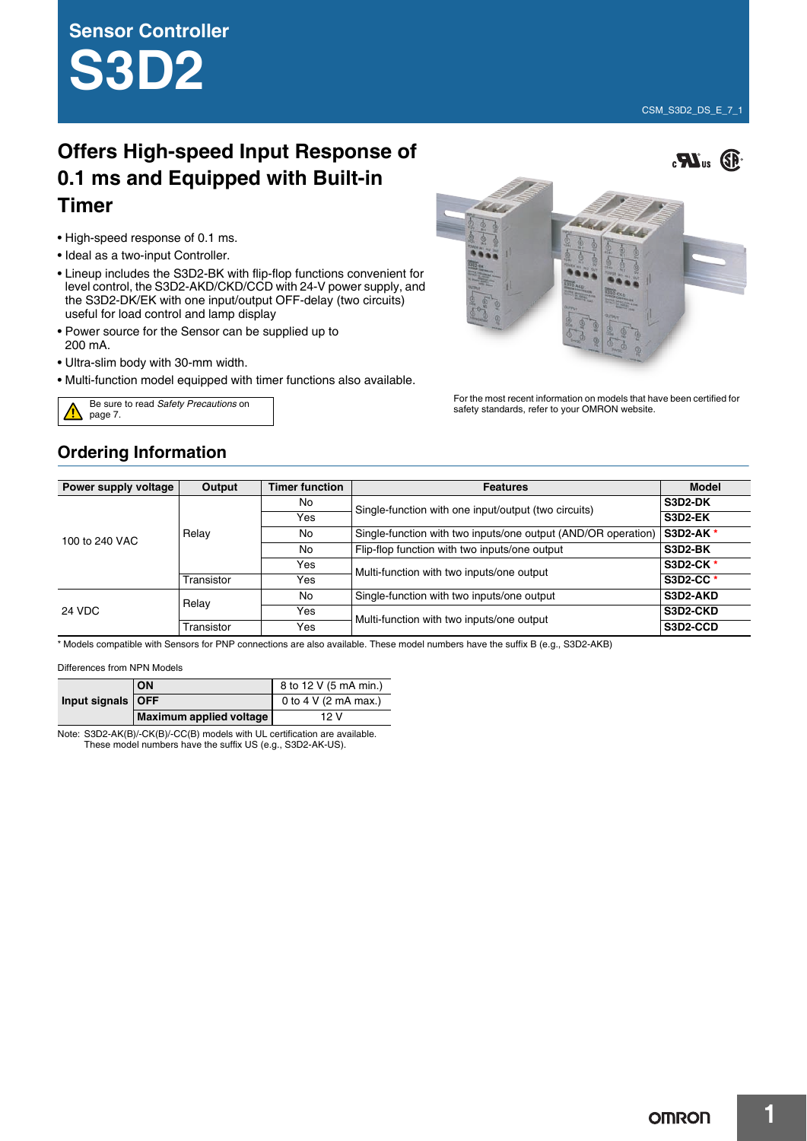**Sensor Controller S3D2**

# **Offers High-speed Input Response of 0.1 ms and Equipped with Built-in Timer**

- High-speed response of 0.1 ms.
- Ideal as a two-input Controller.
- Lineup includes the S3D2-BK with flip-flop functions convenient for level control, the S3D2-AKD/CKD/CCD with 24-V power supply, and the S3D2-DK/EK with one input/output OFF-delay (two circuits) useful for load control and lamp display
- Power source for the Sensor can be supplied up to 200 mA.
- Ultra-slim body with 30-mm width.
- Multi-function model equipped with timer functions also available.





For the most recent information on models that have been certified for Be sure to read *Safety Precautions* on **Exercise 2**<br>safety standards, refer to your OMRON website.

## **Ordering Information**

| Power supply voltage | Output     | <b>Timer function</b> | <b>Features</b>                                               | <b>Model</b>     |
|----------------------|------------|-----------------------|---------------------------------------------------------------|------------------|
| 100 to 240 VAC       |            | No                    | Single-function with one input/output (two circuits)          | S3D2-DK          |
|                      | Relay      | Yes                   |                                                               | S3D2-EK          |
|                      |            | No                    | Single-function with two inputs/one output (AND/OR operation) | <b>S3D2-AK*</b>  |
|                      |            | No                    | Flip-flop function with two inputs/one output                 | S3D2-BK          |
|                      |            | Yes                   | Multi-function with two inputs/one output                     | <b>S3D2-CK *</b> |
|                      | Transistor | Yes                   |                                                               | <b>S3D2-CC*</b>  |
| 24 VDC               | Relay      | No                    | Single-function with two inputs/one output                    | S3D2-AKD         |
|                      |            | Yes                   | Multi-function with two inputs/one output                     | S3D2-CKD         |
|                      | Transistor | Yes                   |                                                               | S3D2-CCD         |

\* Models compatible with Sensors for PNP connections are also available. These model numbers have the suffix B (e.g., S3D2-AKB)

#### Differences from NPN Models

| Input signals   OFF | ON                      | 8 to 12 V (5 mA min.) |
|---------------------|-------------------------|-----------------------|
|                     |                         | 0 to 4 V (2 mA max.)  |
|                     | Maximum applied voltage | 12 V                  |

Note: S3D2-AK(B)/-CK(B)/-CC(B) models with UL certification are available. These model numbers have the suffix US (e.g., S3D2-AK-US).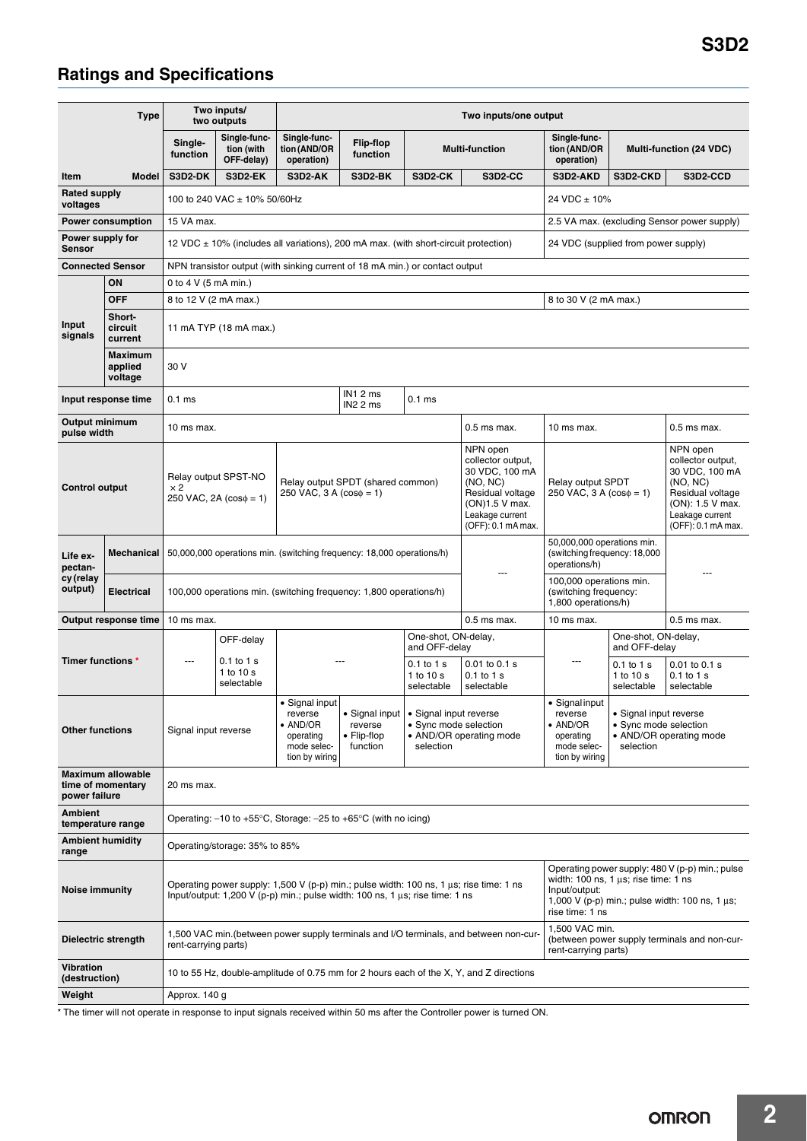# **Ratings and Specifications**

| Type                                   |                                               |                                                                                                                                                                                                                                                                                                                                                                             | Two inputs/<br>two outputs                                  | Two inputs/one output                                                                                                                                       |                                                                                         |                                                                                         |                                                                                                                                            |                                                                                             |                                                                                         |                                                                                                                                              |
|----------------------------------------|-----------------------------------------------|-----------------------------------------------------------------------------------------------------------------------------------------------------------------------------------------------------------------------------------------------------------------------------------------------------------------------------------------------------------------------------|-------------------------------------------------------------|-------------------------------------------------------------------------------------------------------------------------------------------------------------|-----------------------------------------------------------------------------------------|-----------------------------------------------------------------------------------------|--------------------------------------------------------------------------------------------------------------------------------------------|---------------------------------------------------------------------------------------------|-----------------------------------------------------------------------------------------|----------------------------------------------------------------------------------------------------------------------------------------------|
|                                        |                                               | Single-<br>function                                                                                                                                                                                                                                                                                                                                                         | Single-func-<br>tion (with<br>OFF-delay)                    | Single-func-<br>tion (AND/OR<br>operation)                                                                                                                  | Flip-flop<br>function                                                                   |                                                                                         | <b>Multi-function</b>                                                                                                                      | Single-func-<br>tion (AND/OR<br>operation)                                                  |                                                                                         | Multi-function (24 VDC)                                                                                                                      |
| Item                                   | Model                                         | S3D2-DK                                                                                                                                                                                                                                                                                                                                                                     | S3D2-EK                                                     | S3D2-AK                                                                                                                                                     | S3D2-BK                                                                                 | S3D2-CK                                                                                 | <b>S3D2-CC</b>                                                                                                                             | S3D2-AKD                                                                                    | S3D2-CKD                                                                                | S3D2-CCD                                                                                                                                     |
| <b>Rated supply</b><br>voltages        |                                               |                                                                                                                                                                                                                                                                                                                                                                             | 100 to 240 VAC ± 10% 50/60Hz                                |                                                                                                                                                             |                                                                                         |                                                                                         |                                                                                                                                            | 24 VDC ± 10%                                                                                |                                                                                         |                                                                                                                                              |
| 15 VA max.<br><b>Power consumption</b> |                                               |                                                                                                                                                                                                                                                                                                                                                                             |                                                             |                                                                                                                                                             |                                                                                         |                                                                                         | 2.5 VA max. (excluding Sensor power supply)                                                                                                |                                                                                             |                                                                                         |                                                                                                                                              |
| <b>Sensor</b>                          | Power supply for                              |                                                                                                                                                                                                                                                                                                                                                                             |                                                             |                                                                                                                                                             | 12 VDC $\pm$ 10% (includes all variations), 200 mA max. (with short-circuit protection) |                                                                                         |                                                                                                                                            | 24 VDC (supplied from power supply)                                                         |                                                                                         |                                                                                                                                              |
| <b>Connected Sensor</b>                |                                               |                                                                                                                                                                                                                                                                                                                                                                             |                                                             |                                                                                                                                                             | NPN transistor output (with sinking current of 18 mA min.) or contact output            |                                                                                         |                                                                                                                                            |                                                                                             |                                                                                         |                                                                                                                                              |
|                                        | ON<br>0 to 4 V (5 mA min.)                    |                                                                                                                                                                                                                                                                                                                                                                             |                                                             |                                                                                                                                                             |                                                                                         |                                                                                         |                                                                                                                                            |                                                                                             |                                                                                         |                                                                                                                                              |
|                                        | <b>OFF</b>                                    | 8 to 12 V (2 mA max.)<br>8 to 30 V (2 mA max.)                                                                                                                                                                                                                                                                                                                              |                                                             |                                                                                                                                                             |                                                                                         |                                                                                         |                                                                                                                                            |                                                                                             |                                                                                         |                                                                                                                                              |
| Input<br>signals                       | Short-<br>circuit<br>current                  | 11 mA TYP (18 mA max.)                                                                                                                                                                                                                                                                                                                                                      |                                                             |                                                                                                                                                             |                                                                                         |                                                                                         |                                                                                                                                            |                                                                                             |                                                                                         |                                                                                                                                              |
|                                        | <b>Maximum</b><br>applied<br>voltage          | 30 V                                                                                                                                                                                                                                                                                                                                                                        |                                                             |                                                                                                                                                             |                                                                                         |                                                                                         |                                                                                                                                            |                                                                                             |                                                                                         |                                                                                                                                              |
|                                        | Input response time                           | 0.1 <sub>ms</sub>                                                                                                                                                                                                                                                                                                                                                           |                                                             |                                                                                                                                                             | IN12ms<br>IN22 ms                                                                       | $0.1$ ms                                                                                |                                                                                                                                            |                                                                                             |                                                                                         |                                                                                                                                              |
| <b>Output minimum</b><br>pulse width   |                                               |                                                                                                                                                                                                                                                                                                                                                                             | $0.5$ ms max.<br>10 ms max.                                 |                                                                                                                                                             |                                                                                         |                                                                                         |                                                                                                                                            | 10 ms max.                                                                                  |                                                                                         | $0.5$ ms max.                                                                                                                                |
| <b>Control output</b>                  |                                               | $\times 2$                                                                                                                                                                                                                                                                                                                                                                  | Relay output SPST-NO<br>$250$ VAC, $2A$ ( $\cos \phi = 1$ ) | Relay output SPDT (shared common)<br>$250$ VAC, 3 A ( $cos\phi = 1$ )                                                                                       |                                                                                         |                                                                                         | NPN open<br>collector output,<br>30 VDC. 100 mA<br>(NO, NC)<br>Residual voltage<br>(ON)1.5 V max.<br>Leakage current<br>(OFF): 0.1 mA max. | <b>Relay output SPDT</b><br>250 VAC, $3 A (cos \phi = 1)$                                   |                                                                                         | NPN open<br>collector output,<br>30 VDC, 100 mA<br>(NO, NC)<br>Residual voltage<br>(ON): 1.5 V max.<br>Leakage current<br>(OFF): 0.1 mA max. |
| Life ex-<br>pectan-                    | Mechanical                                    |                                                                                                                                                                                                                                                                                                                                                                             |                                                             | 50,000,000 operations min. (switching frequency: 18,000 operations/h)                                                                                       |                                                                                         |                                                                                         |                                                                                                                                            | 50,000,000 operations min.<br>(switching frequency: 18,000<br>operations/h)                 |                                                                                         |                                                                                                                                              |
| cy (relay<br>output)                   | <b>Electrical</b>                             |                                                                                                                                                                                                                                                                                                                                                                             |                                                             |                                                                                                                                                             | 100,000 operations min. (switching frequency: 1,800 operations/h)                       |                                                                                         |                                                                                                                                            | 100,000 operations min.<br>(switching frequency:<br>1,800 operations/h)                     |                                                                                         |                                                                                                                                              |
|                                        | Output response time                          | 10 ms max.<br>$0.5$ ms max.                                                                                                                                                                                                                                                                                                                                                 |                                                             |                                                                                                                                                             |                                                                                         | 10 ms max.                                                                              |                                                                                                                                            | $0.5$ ms max.                                                                               |                                                                                         |                                                                                                                                              |
|                                        |                                               |                                                                                                                                                                                                                                                                                                                                                                             | OFF-delay                                                   |                                                                                                                                                             |                                                                                         | One-shot, ON-delay,<br>and OFF-delay                                                    |                                                                                                                                            |                                                                                             | One-shot, ON-delay,<br>and OFF-delay                                                    |                                                                                                                                              |
| Timer functions *                      |                                               | ---                                                                                                                                                                                                                                                                                                                                                                         | $0.1$ to 1 s<br>1 to 10 s<br>selectable                     |                                                                                                                                                             |                                                                                         | 0.1 to 1 s<br>1 to 10 s<br>selectable                                                   | 0.01 to 0.1 s<br>0.1 to 1 s<br>selectable                                                                                                  | ---                                                                                         | $0.1$ to $1$ s<br>1 to 10 s<br>selectable                                               | $0.01$ to $0.1$ s<br>$0.1$ to $1$ s<br>selectable                                                                                            |
| <b>Other functions</b>                 |                                               | Signal input reverse                                                                                                                                                                                                                                                                                                                                                        |                                                             | • Signal input<br>• Signal input<br>reverse<br>$\bullet$ AND/OR<br>reverse<br>$\bullet$ Flip-flop<br>operating<br>function<br>mode selec-<br>tion by wiring |                                                                                         | • Signal input reverse<br>• Sync mode selection<br>• AND/OR operating mode<br>selection |                                                                                                                                            | · Signal input<br>reverse<br>$\bullet$ AND/OR<br>operating<br>mode selec-<br>tion by wiring | • Signal input reverse<br>· Sync mode selection<br>• AND/OR operating mode<br>selection |                                                                                                                                              |
| power failure                          | <b>Maximum allowable</b><br>time of momentary | 20 ms max.                                                                                                                                                                                                                                                                                                                                                                  |                                                             |                                                                                                                                                             |                                                                                         |                                                                                         |                                                                                                                                            |                                                                                             |                                                                                         |                                                                                                                                              |
| <b>Ambient</b><br>temperature range    |                                               | Operating: $-10$ to $+55^{\circ}$ C, Storage: $-25$ to $+65^{\circ}$ C (with no icing)                                                                                                                                                                                                                                                                                      |                                                             |                                                                                                                                                             |                                                                                         |                                                                                         |                                                                                                                                            |                                                                                             |                                                                                         |                                                                                                                                              |
| <b>Ambient humidity</b><br>range       |                                               | Operating/storage: 35% to 85%                                                                                                                                                                                                                                                                                                                                               |                                                             |                                                                                                                                                             |                                                                                         |                                                                                         |                                                                                                                                            |                                                                                             |                                                                                         |                                                                                                                                              |
| Noise immunity                         |                                               | Operating power supply: 480 V (p-p) min.; pulse<br>width: $100$ ns, $1 \mu s$ ; rise time: $1$ ns<br>Operating power supply: 1,500 V (p-p) min.; pulse width: 100 ns, 1 µs; rise time: 1 ns<br>Input/output:<br>Input/output: 1,200 V (p-p) min.; pulse width: 100 ns, 1 $\mu$ s; rise time: 1 ns<br>1,000 V (p-p) min.; pulse width: 100 ns, 1 $\mu$ s;<br>rise time: 1 ns |                                                             |                                                                                                                                                             |                                                                                         |                                                                                         |                                                                                                                                            |                                                                                             |                                                                                         |                                                                                                                                              |
| Dielectric strength                    |                                               | 1,500 VAC min.<br>1,500 VAC min. (between power supply terminals and I/O terminals, and between non-cur-<br>(between power supply terminals and non-cur-<br>rent-carrying parts)<br>rent-carrying parts)                                                                                                                                                                    |                                                             |                                                                                                                                                             |                                                                                         |                                                                                         |                                                                                                                                            |                                                                                             |                                                                                         |                                                                                                                                              |
| <b>Vibration</b><br>(destruction)      |                                               | 10 to 55 Hz, double-amplitude of 0.75 mm for 2 hours each of the X, Y, and Z directions                                                                                                                                                                                                                                                                                     |                                                             |                                                                                                                                                             |                                                                                         |                                                                                         |                                                                                                                                            |                                                                                             |                                                                                         |                                                                                                                                              |
| Weight                                 |                                               | Approx. 140 g                                                                                                                                                                                                                                                                                                                                                               |                                                             |                                                                                                                                                             |                                                                                         |                                                                                         |                                                                                                                                            |                                                                                             |                                                                                         |                                                                                                                                              |

\* The timer will not operate in response to input signals received within 50 ms after the Controller power is turned ON.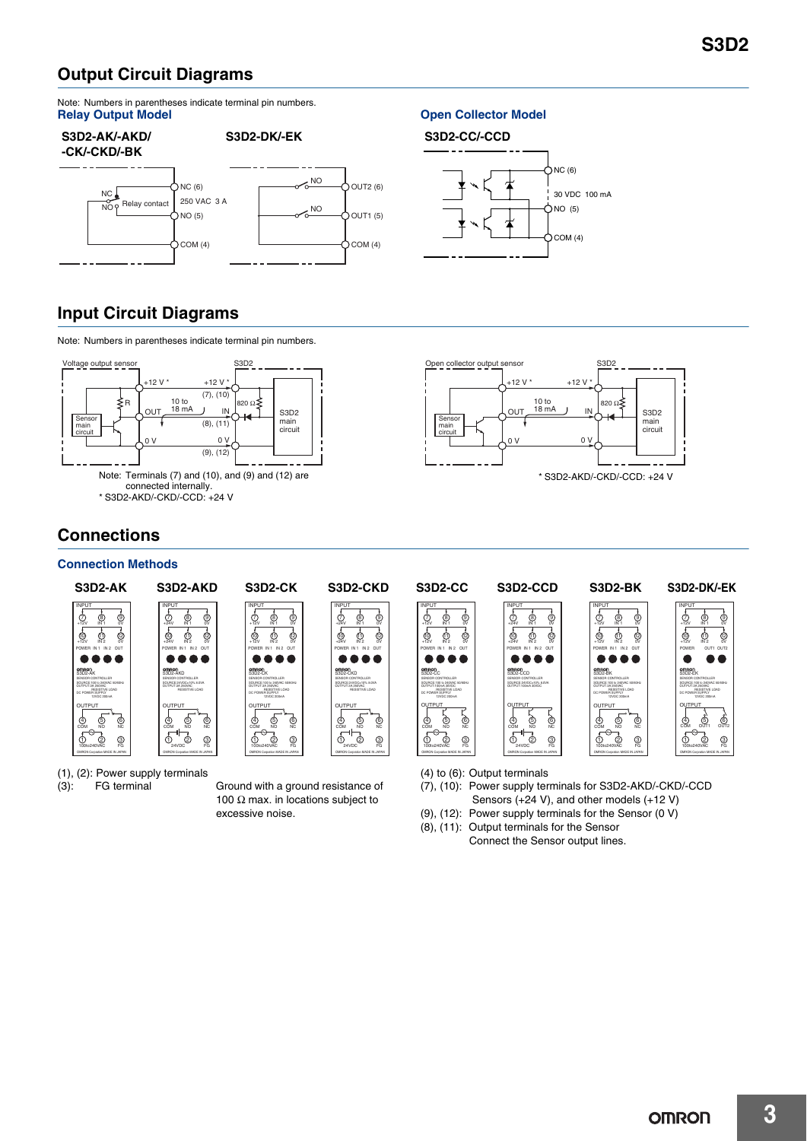## **Output Circuit Diagrams**

Note: Numbers in parentheses indicate terminal pin numbers.<br>Relay Output Model

#### **S3D2-AK/-AKD/ -CK/-CKD/-BK S3D2-DK/-EK**  $\frac{1}{N}$ NC NO Relay contact  $\begin{bmatrix} 250 \text{ VAC } 3 \text{ A} \\ \text{NLO } \text{B} \end{bmatrix}$  NO  $\sum$ NC (6)  $\rangle$ NO (5) 250 VAC 3 A  $OCOM(4)$  $\bigcup$ OUT2 (6)  $\bigcirc$ OUT1 (5)  $\sum$  COM (4)

### **Open Collector Model**

## **S3D2-CC/-CCD**



## **Input Circuit Diagrams**

Note: Numbers in parentheses indicate terminal pin numbers.





## **Connections**

## **Connection Methods**



(1), (2): Power supply terminals

(3): FG terminal Ground with a ground resistance of 100  $\Omega$  max. in locations subject to excessive noise.

(4) to (6): Output terminals

- (7), (10): Power supply terminals for S3D2-AKD/-CKD/-CCD Sensors (+24 V), and other models (+12 V)
- (9), (12): Power supply terminals for the Sensor (0 V)
- (8), (11): Output terminals for the Sensor Connect the Sensor output lines.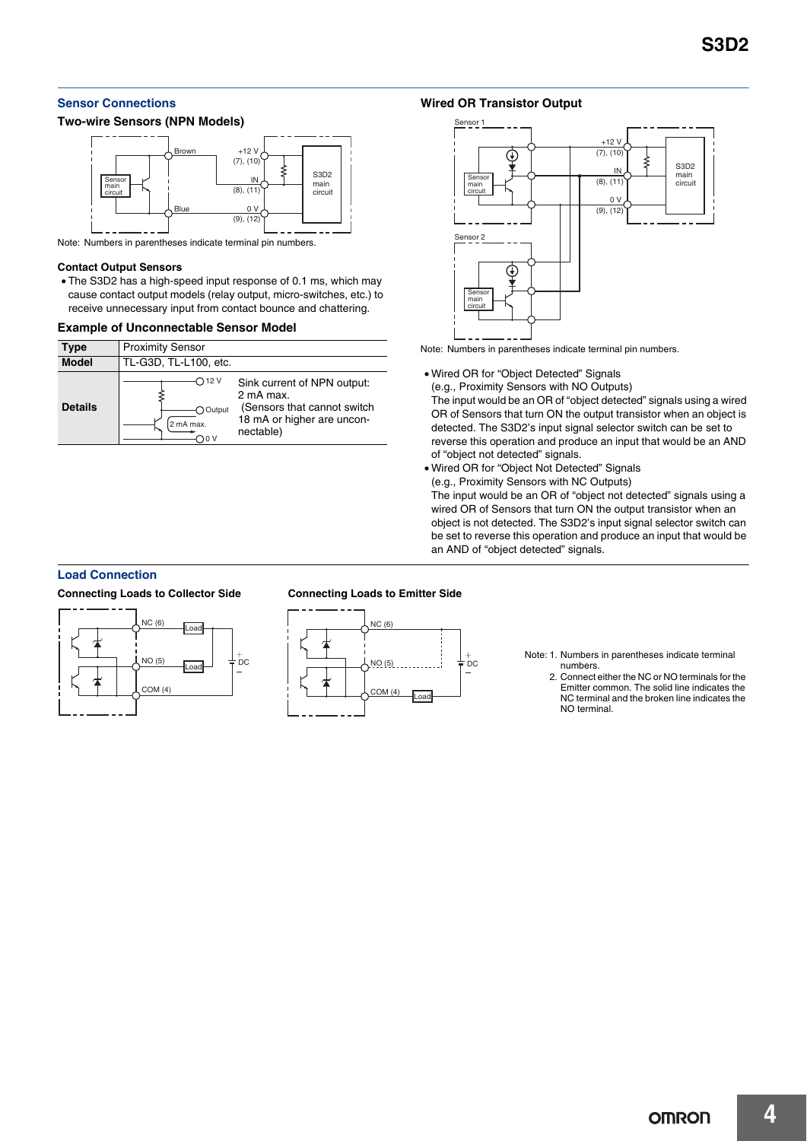## **Sensor Connections**

#### **Two-wire Sensors (NPN Models)**



Note: Numbers in parentheses indicate terminal pin numbers.

#### **Contact Output Sensors**

• The S3D2 has a high-speed input response of 0.1 ms, which may cause contact output models (relay output, micro-switches, etc.) to receive unnecessary input from contact bounce and chattering.

#### **Example of Unconnectable Sensor Model**

| Type           | <b>Proximity Sensor</b>                |                                                                                                                    |  |  |
|----------------|----------------------------------------|--------------------------------------------------------------------------------------------------------------------|--|--|
| <b>Model</b>   | TL-G3D, TL-L100, etc.                  |                                                                                                                    |  |  |
| <b>Details</b> | ◯ 12 V<br>Output<br>2 mA max.<br>) 0 V | Sink current of NPN output:<br>2 mA max.<br>(Sensors that cannot switch<br>18 mA or higher are uncon-<br>nectable) |  |  |

## **Wired OR Transistor Output**



Note: Numbers in parentheses indicate terminal pin numbers.

• Wired OR for "Object Detected" Signals

(e.g., Proximity Sensors with NO Outputs)

The input would be an OR of "object detected" signals using a wired OR of Sensors that turn ON the output transistor when an object is detected. The S3D2's input signal selector switch can be set to reverse this operation and produce an input that would be an AND of "object not detected" signals.

• Wired OR for "Object Not Detected" Signals (e.g., Proximity Sensors with NC Outputs) The input would be an OR of "object not detected" signals using a wired OR of Sensors that turn ON the output transistor when an object is not detected. The S3D2's input signal selector switch can be set to reverse this operation and produce an input that would be an AND of "object detected" signals.

### **Load Connection**

#### **Connecting Loads to Collector Side**



#### **Connecting Loads to Emitter Side**



Note: 1. Numbers in parentheses indicate terminal numbers.

2. Connect either the NC or NO terminals for the Emitter common. The solid line indicates the NC terminal and the broken line indicates the NO terminal.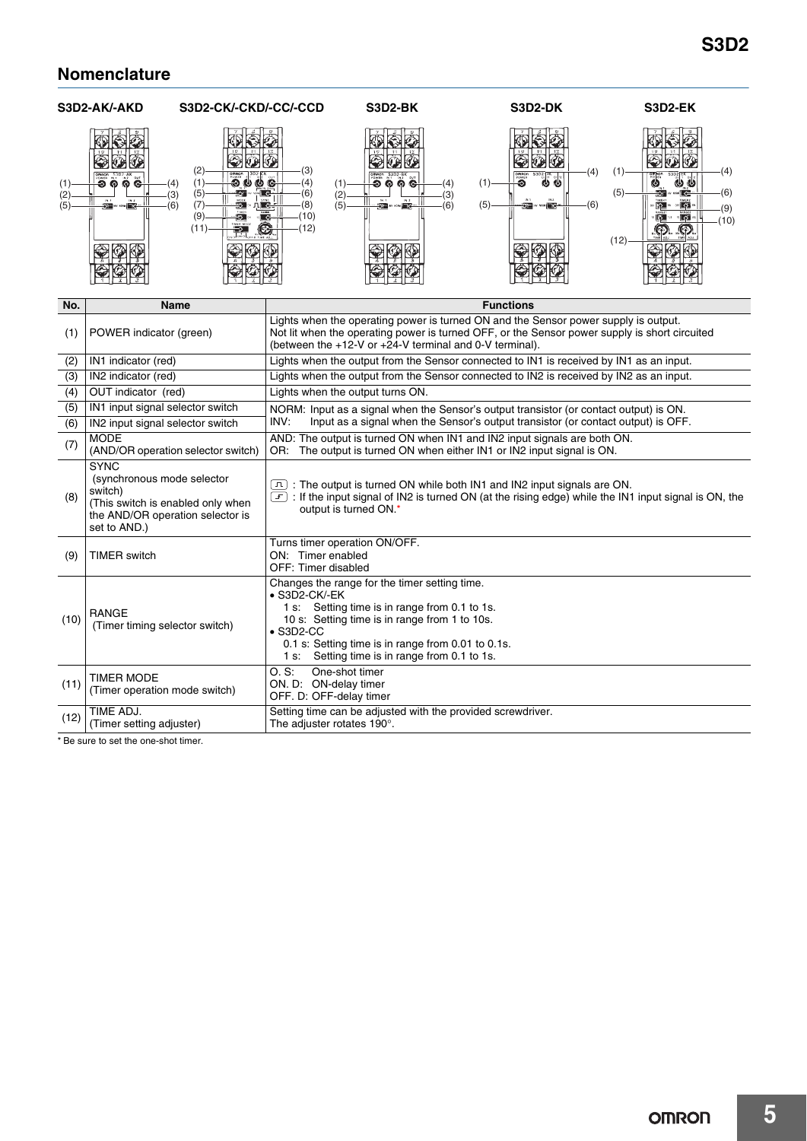## **Nomenclature**



\* Be sure to set the one-shot timer.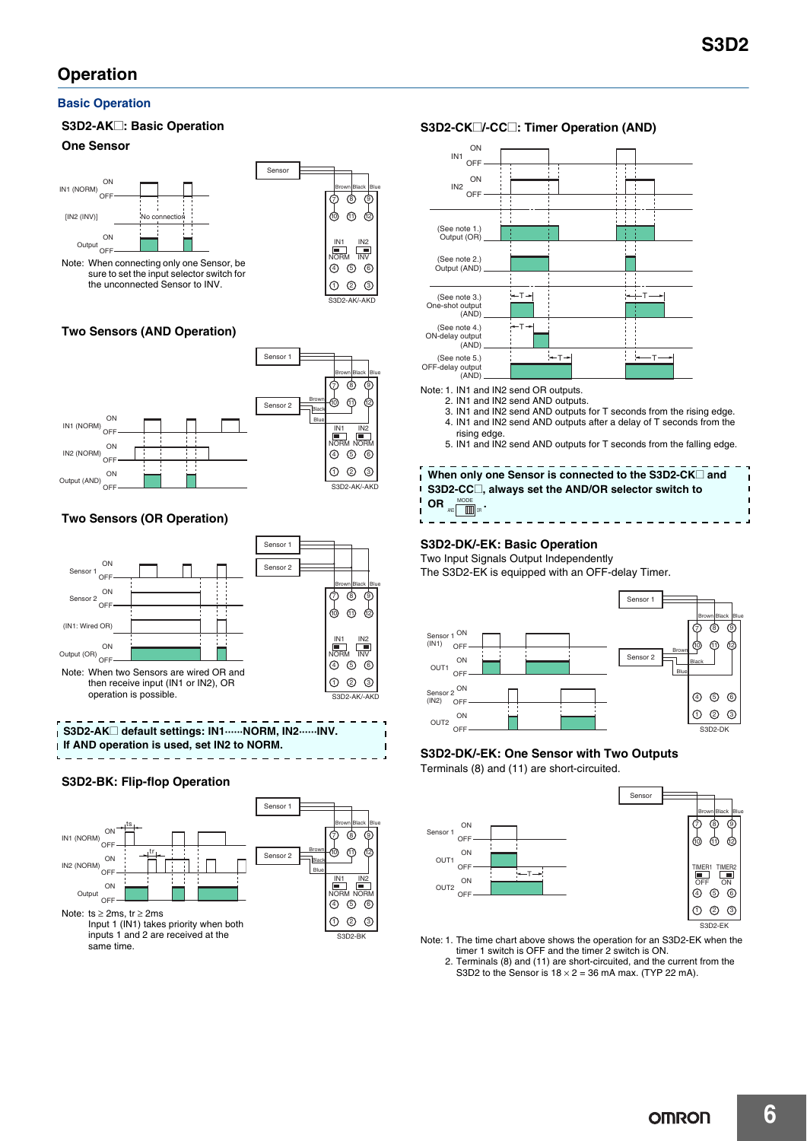## **Operation**

### **Basic Operation**

## **S3D2-AK**@**: Basic Operation**

## **One Sensor**



## **Two Sensors (AND Operation)**



## **Two Sensors (OR Operation)**





### **S3D2-BK: Flip-flop Operation**





Note: 1. IN1 and IN2 send OR outputs.

- 2. IN1 and IN2 send AND outputs. 3. IN1 and IN2 send AND outputs for T seconds from the rising edge. 4. IN1 and IN2 send AND outputs after a delay of T seconds from the
- rising edge. 5. IN1 and IN2 send AND outputs for T seconds from the falling edge.
- When only one Sensor is connected to the S3D2-CK<sup> $\Box$ </sup> and Ī. **S3D2-CC**@**, always set the AND/OR selector switch to**   $\blacksquare$

 $OR$  **MODE**  $\lim_{\text{AND}}$ 

### **S3D2-DK/-EK: Basic Operation**

Two Input Signals Output Independently The S3D2-EK is equipped with an OFF-delay Timer.



### **S3D2-DK/-EK: One Sensor with Two Outputs**

Terminals (8) and (11) are short-circuited.



- Note: 1. The time chart above shows the operation for an S3D2-EK when the timer 1 switch is OFF and the timer 2 switch is ON. 2. Terminals (8) and (11) are short-circuited, and the current from the
	- S3D2 to the Sensor is  $18 \times 2 = 36$  mA max. (TYP 22 mA).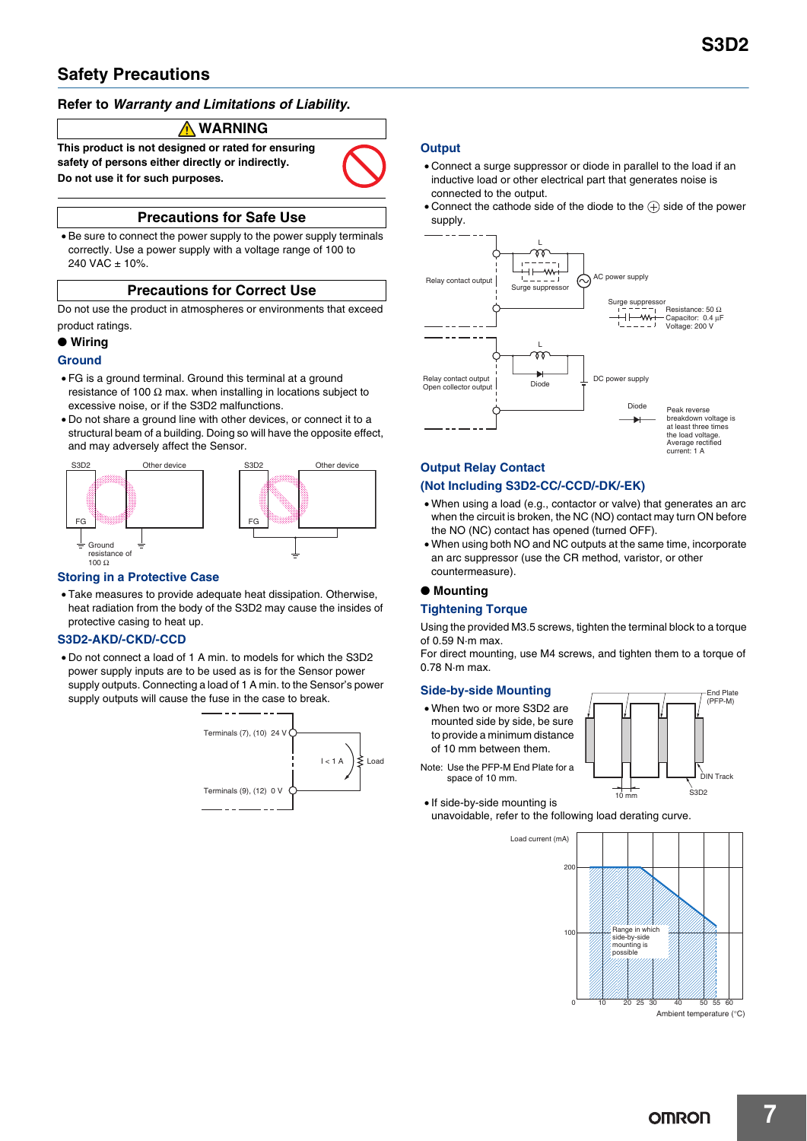## **Safety Precautions**

### **Refer to** *Warranty and Limitations of Liability***.**

### **WARNING**

**This product is not designed or rated for ensuring safety of persons either directly or indirectly. Do not use it for such purposes.**



### **Precautions for Safe Use**

• Be sure to connect the power supply to the power supply terminals correctly. Use a power supply with a voltage range of 100 to  $240$  VAC  $\pm$  10%.

### **Precautions for Correct Use**

Do not use the product in atmospheres or environments that exceed product ratings.

#### ● **Wiring**

#### **Ground**

- FG is a ground terminal. Ground this terminal at a ground resistance of 100  $\Omega$  max. when installing in locations subject to excessive noise, or if the S3D2 malfunctions.
- Do not share a ground line with other devices, or connect it to a structural beam of a building. Doing so will have the opposite effect, and may adversely affect the Sensor.



#### **Storing in a Protective Case**

• Take measures to provide adequate heat dissipation. Otherwise, heat radiation from the body of the S3D2 may cause the insides of protective casing to heat up.

#### **S3D2-AKD/-CKD/-CCD**

• Do not connect a load of 1 A min. to models for which the S3D2 power supply inputs are to be used as is for the Sensor power supply outputs. Connecting a load of 1 A min. to the Sensor's power supply outputs will cause the fuse in the case to break.



#### **Output**

- Connect a surge suppressor or diode in parallel to the load if an inductive load or other electrical part that generates noise is connected to the output.
- Connect the cathode side of the diode to the  $\circled$  side of the power supply.



## **Output Relay Contact**

#### **(Not Including S3D2-CC/-CCD/-DK/-EK)**

- When using a load (e.g., contactor or valve) that generates an arc when the circuit is broken, the NC (NO) contact may turn ON before the NO (NC) contact has opened (turned OFF).
- When using both NO and NC outputs at the same time, incorporate an arc suppressor (use the CR method, varistor, or other countermeasure).

#### ● **Mounting**

#### **Tightening Torque**

Using the provided M3.5 screws, tighten the terminal block to a torque of 0.59 N·m max.

For direct mounting, use M4 screws, and tighten them to a torque of 0.78 N·m max.

#### **Side-by-side Mounting**

- When two or more S3D2 are mounted side by side, be sure to provide a minimum distance of 10 mm between them.
- Note: Use the PFP-M End Plate for a space of 10 mm.



• If side-by-side mounting is unavoidable, refer to the following load derating curve.

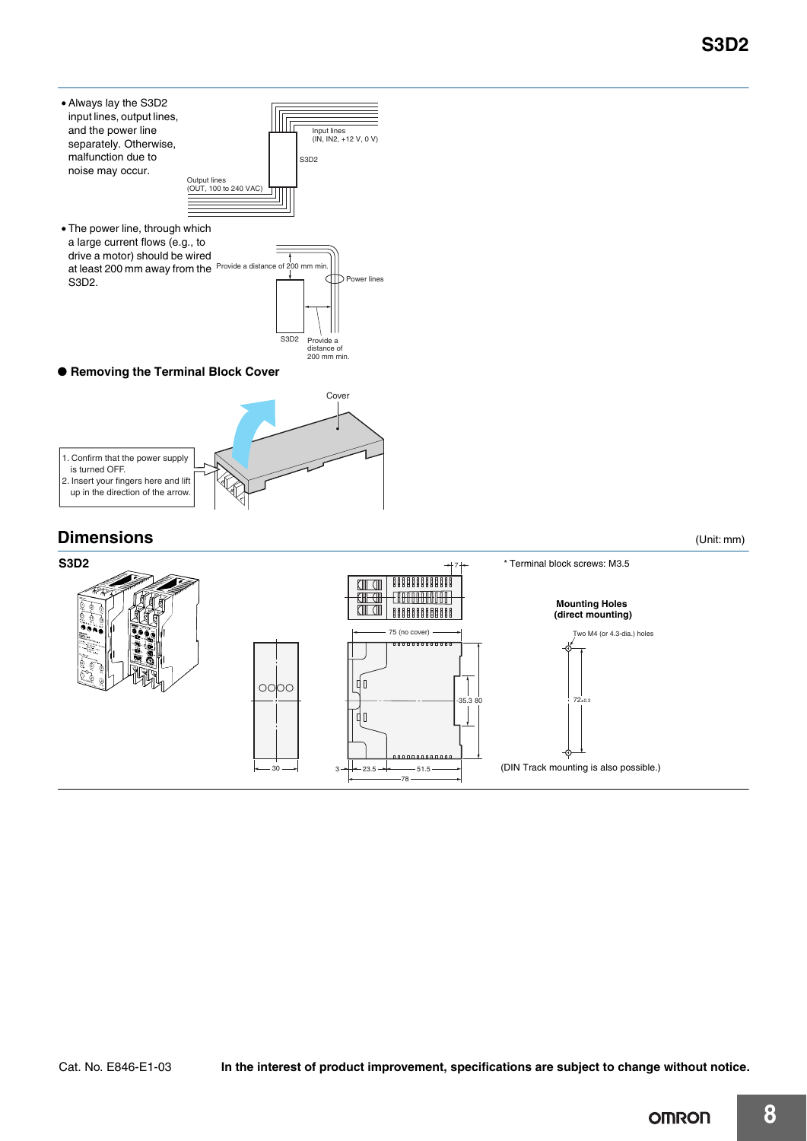- Always lay the S3D2 input lines, output lines, IIIIr and the power line Input lines (IN, IN2, +12 V, 0 V) separately. Otherwise, malfunction due to S3D2 noise may occur. Output lines (OUT, 100 to 240 VAC) • The power line, through which a large current flows (e.g., to drive a motor) should be wired
- at least 200 mm away from the Provide a distance of 200 mm min. S3D2. Power lines S3D2 Provide a distance of 200 mm min.
- Removing the Terminal Block Cover



## **Dimensions** (Unit: mm)